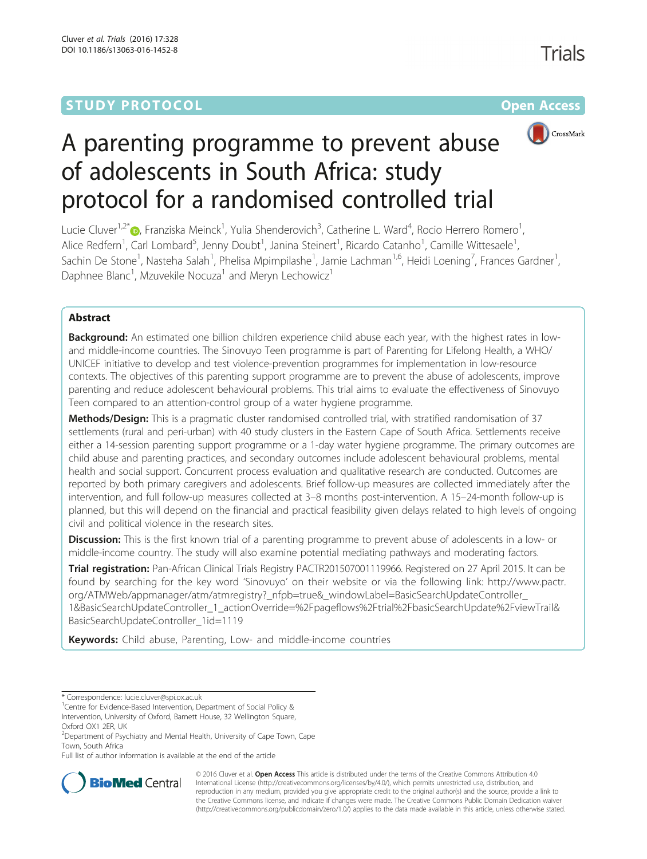# **STUDY PROTOCOL CONSUMING THE RESERVE ACCESS**



Trials

# A parenting programme to prevent abuse of adolescents in South Africa: study protocol for a randomised controlled trial

Lucie Cluver<sup>1[,](http://orcid.org/0000-0002-0418-835X)2\*</sup>®, Franziska Meinck<sup>1</sup>, Yulia Shenderovich<sup>3</sup>, Catherine L. Ward<sup>4</sup>, Rocio Herrero Romero<sup>1</sup> , Alice Redfern<sup>1</sup>, Carl Lombard<sup>5</sup>, Jenny Doubt<sup>1</sup>, Janina Steinert<sup>1</sup>, Ricardo Catanho<sup>1</sup>, Camille Wittesaele<sup>1</sup> , Sachin De Stone<sup>1</sup>, Nasteha Salah<sup>1</sup>, Phelisa Mpimpilashe<sup>1</sup>, Jamie Lachman<sup>1,6</sup>, Heidi Loening<sup>7</sup>, Frances Gardner<sup>1</sup> , Daphnee Blanc<sup>1</sup>, Mzuvekile Nocuza<sup>1</sup> and Meryn Lechowicz<sup>1</sup>

## Abstract

Background: An estimated one billion children experience child abuse each year, with the highest rates in lowand middle-income countries. The Sinovuyo Teen programme is part of Parenting for Lifelong Health, a WHO/ UNICEF initiative to develop and test violence-prevention programmes for implementation in low-resource contexts. The objectives of this parenting support programme are to prevent the abuse of adolescents, improve parenting and reduce adolescent behavioural problems. This trial aims to evaluate the effectiveness of Sinovuyo Teen compared to an attention-control group of a water hygiene programme.

Methods/Design: This is a pragmatic cluster randomised controlled trial, with stratified randomisation of 37 settlements (rural and peri-urban) with 40 study clusters in the Eastern Cape of South Africa. Settlements receive either a 14-session parenting support programme or a 1-day water hygiene programme. The primary outcomes are child abuse and parenting practices, and secondary outcomes include adolescent behavioural problems, mental health and social support. Concurrent process evaluation and qualitative research are conducted. Outcomes are reported by both primary caregivers and adolescents. Brief follow-up measures are collected immediately after the intervention, and full follow-up measures collected at 3–8 months post-intervention. A 15–24-month follow-up is planned, but this will depend on the financial and practical feasibility given delays related to high levels of ongoing civil and political violence in the research sites.

Discussion: This is the first known trial of a parenting programme to prevent abuse of adolescents in a low- or middle-income country. The study will also examine potential mediating pathways and moderating factors.

Trial registration: Pan-African Clinical Trials Registry PACTR201507001119966. Registered on 27 April 2015. It can be found by searching for the key word 'Sinovuyo' on their website or via the following link: [http://www.pactr.](http://www.pactr.org/ATMWeb/appmanager/atm/atmregistry?_nfpb=true&_windowLabel=BasicSearchUpdateController_1&BasicSearchUpdateController_1_actionOverride=%2Fpageflows%2Ftrial%2FbasicSearchUpdate%2FviewTrail&BasicSearchUpdateController_1id=1119) org/ATMWeb/appmanager/atm/atmregistry?\_nfpb=true&\_windowLabel=BasicSearchUpdateController [1&BasicSearchUpdateController\\_1\\_actionOverride=%2Fpageflows%2Ftrial%2FbasicSearchUpdate%2FviewTrail&](http://www.pactr.org/ATMWeb/appmanager/atm/atmregistry?_nfpb=true&_windowLabel=BasicSearchUpdateController_1&BasicSearchUpdateController_1_actionOverride=%2Fpageflows%2Ftrial%2FbasicSearchUpdate%2FviewTrail&BasicSearchUpdateController_1id=1119) [BasicSearchUpdateController\\_1id=1119](http://www.pactr.org/ATMWeb/appmanager/atm/atmregistry?_nfpb=true&_windowLabel=BasicSearchUpdateController_1&BasicSearchUpdateController_1_actionOverride=%2Fpageflows%2Ftrial%2FbasicSearchUpdate%2FviewTrail&BasicSearchUpdateController_1id=1119)

Keywords: Child abuse, Parenting, Low- and middle-income countries

Full list of author information is available at the end of the article



© 2016 Cluver et al. Open Access This article is distributed under the terms of the Creative Commons Attribution 4.0 International License [\(http://creativecommons.org/licenses/by/4.0/](http://creativecommons.org/licenses/by/4.0/)), which permits unrestricted use, distribution, and reproduction in any medium, provided you give appropriate credit to the original author(s) and the source, provide a link to the Creative Commons license, and indicate if changes were made. The Creative Commons Public Domain Dedication waiver [\(http://creativecommons.org/publicdomain/zero/1.0/](http://creativecommons.org/publicdomain/zero/1.0/)) applies to the data made available in this article, unless otherwise stated.

<sup>\*</sup> Correspondence: [lucie.cluver@spi.ox.ac.uk](mailto:lucie.cluver@spi.ox.ac.uk) <sup>1</sup>

<sup>&</sup>lt;sup>1</sup> Centre for Evidence-Based Intervention, Department of Social Policy &

Intervention, University of Oxford, Barnett House, 32 Wellington Square, Oxford OX1 2ER, UK

<sup>&</sup>lt;sup>2</sup>Department of Psychiatry and Mental Health, University of Cape Town, Cape Town, South Africa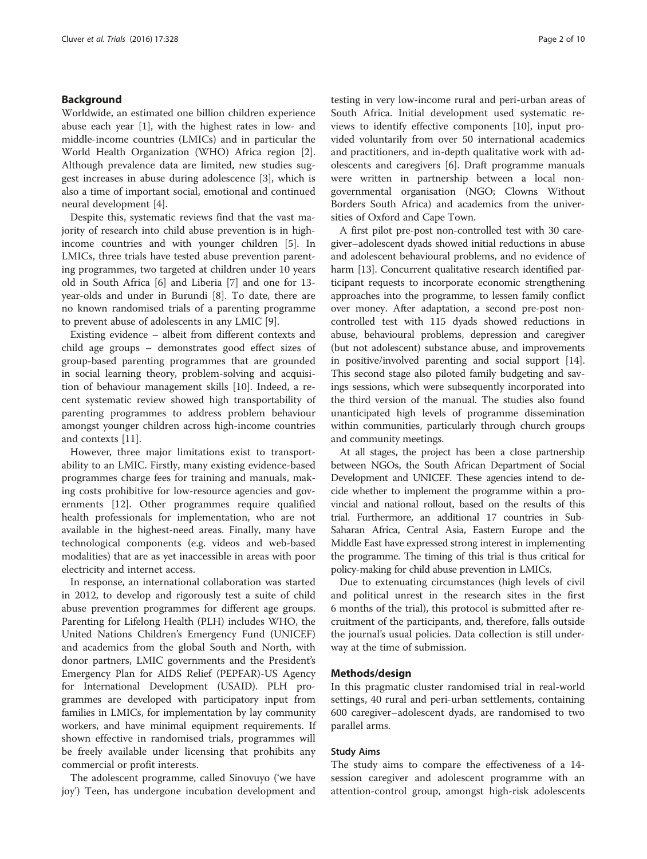## Background

Worldwide, an estimated one billion children experience abuse each year [[1\]](#page-8-0), with the highest rates in low- and middle-income countries (LMICs) and in particular the World Health Organization (WHO) Africa region [\[2](#page-8-0)]. Although prevalence data are limited, new studies suggest increases in abuse during adolescence [[3\]](#page-8-0), which is also a time of important social, emotional and continued neural development [\[4](#page-8-0)].

Despite this, systematic reviews find that the vast majority of research into child abuse prevention is in highincome countries and with younger children [\[5](#page-8-0)]. In LMICs, three trials have tested abuse prevention parenting programmes, two targeted at children under 10 years old in South Africa [\[6](#page-8-0)] and Liberia [[7\]](#page-8-0) and one for 13 year-olds and under in Burundi [[8\]](#page-8-0). To date, there are no known randomised trials of a parenting programme to prevent abuse of adolescents in any LMIC [\[9](#page-8-0)].

Existing evidence – albeit from different contexts and child age groups – demonstrates good effect sizes of group-based parenting programmes that are grounded in social learning theory, problem-solving and acquisition of behaviour management skills [\[10](#page-8-0)]. Indeed, a recent systematic review showed high transportability of parenting programmes to address problem behaviour amongst younger children across high-income countries and contexts [\[11\]](#page-8-0).

However, three major limitations exist to transportability to an LMIC. Firstly, many existing evidence-based programmes charge fees for training and manuals, making costs prohibitive for low-resource agencies and governments [[12\]](#page-8-0). Other programmes require qualified health professionals for implementation, who are not available in the highest-need areas. Finally, many have technological components (e.g. videos and web-based modalities) that are as yet inaccessible in areas with poor electricity and internet access.

In response, an international collaboration was started in 2012, to develop and rigorously test a suite of child abuse prevention programmes for different age groups. Parenting for Lifelong Health (PLH) includes WHO, the United Nations Children's Emergency Fund (UNICEF) and academics from the global South and North, with donor partners, LMIC governments and the President's Emergency Plan for AIDS Relief (PEPFAR)-US Agency for International Development (USAID). PLH programmes are developed with participatory input from families in LMICs, for implementation by lay community workers, and have minimal equipment requirements. If shown effective in randomised trials, programmes will be freely available under licensing that prohibits any commercial or profit interests.

The adolescent programme, called Sinovuyo ('we have joy') Teen, has undergone incubation development and testing in very low-income rural and peri-urban areas of South Africa. Initial development used systematic reviews to identify effective components [\[10](#page-8-0)], input provided voluntarily from over 50 international academics and practitioners, and in-depth qualitative work with adolescents and caregivers [[6\]](#page-8-0). Draft programme manuals were written in partnership between a local nongovernmental organisation (NGO; Clowns Without Borders South Africa) and academics from the universities of Oxford and Cape Town.

A first pilot pre-post non-controlled test with 30 caregiver–adolescent dyads showed initial reductions in abuse and adolescent behavioural problems, and no evidence of harm [\[13\]](#page-8-0). Concurrent qualitative research identified participant requests to incorporate economic strengthening approaches into the programme, to lessen family conflict over money. After adaptation, a second pre-post noncontrolled test with 115 dyads showed reductions in abuse, behavioural problems, depression and caregiver (but not adolescent) substance abuse, and improvements in positive/involved parenting and social support [[14](#page-8-0)]. This second stage also piloted family budgeting and savings sessions, which were subsequently incorporated into the third version of the manual. The studies also found unanticipated high levels of programme dissemination within communities, particularly through church groups and community meetings.

At all stages, the project has been a close partnership between NGOs, the South African Department of Social Development and UNICEF. These agencies intend to decide whether to implement the programme within a provincial and national rollout, based on the results of this trial. Furthermore, an additional 17 countries in Sub-Saharan Africa, Central Asia, Eastern Europe and the Middle East have expressed strong interest in implementing the programme. The timing of this trial is thus critical for policy-making for child abuse prevention in LMICs.

Due to extenuating circumstances (high levels of civil and political unrest in the research sites in the first 6 months of the trial), this protocol is submitted after recruitment of the participants, and, therefore, falls outside the journal's usual policies. Data collection is still underway at the time of submission.

## Methods/design

In this pragmatic cluster randomised trial in real-world settings, 40 rural and peri-urban settlements, containing 600 caregiver–adolescent dyads, are randomised to two parallel arms.

## Study Aims

The study aims to compare the effectiveness of a 14 session caregiver and adolescent programme with an attention-control group, amongst high-risk adolescents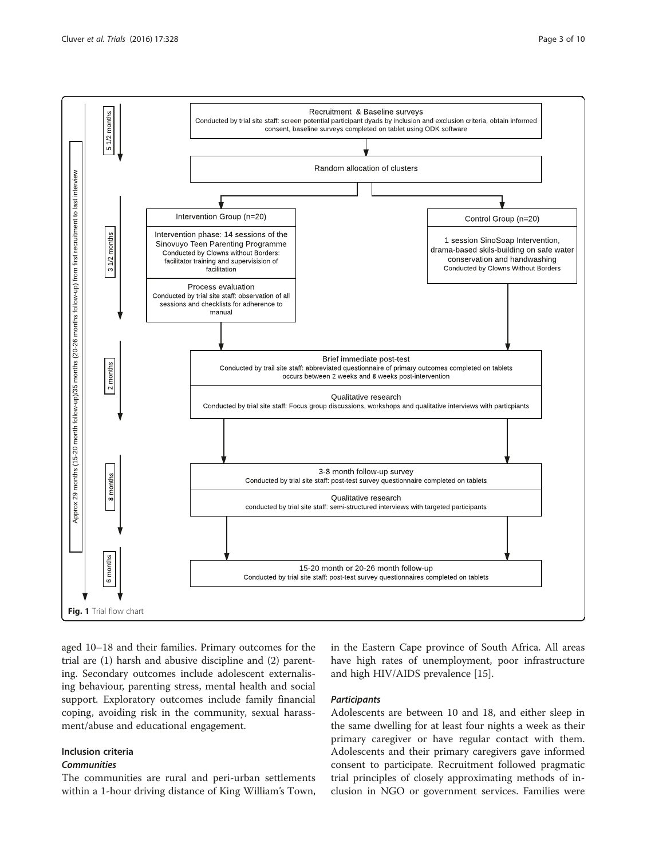

aged 10–18 and their families. Primary outcomes for the trial are (1) harsh and abusive discipline and (2) parenting. Secondary outcomes include adolescent externalising behaviour, parenting stress, mental health and social support. Exploratory outcomes include family financial coping, avoiding risk in the community, sexual harassment/abuse and educational engagement.

# Inclusion criteria

## **Communities**

The communities are rural and peri-urban settlements within a 1-hour driving distance of King William's Town,

in the Eastern Cape province of South Africa. All areas have high rates of unemployment, poor infrastructure and high HIV/AIDS prevalence [[15](#page-8-0)].

## **Participants**

Adolescents are between 10 and 18, and either sleep in the same dwelling for at least four nights a week as their primary caregiver or have regular contact with them. Adolescents and their primary caregivers gave informed consent to participate. Recruitment followed pragmatic trial principles of closely approximating methods of inclusion in NGO or government services. Families were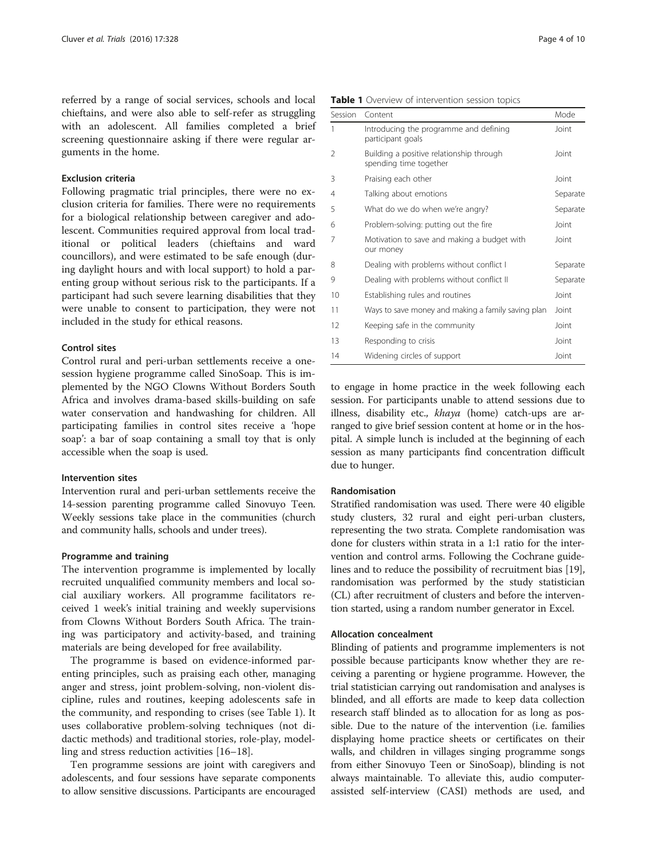referred by a range of social services, schools and local chieftains, and were also able to self-refer as struggling with an adolescent. All families completed a brief screening questionnaire asking if there were regular arguments in the home.

## Exclusion criteria

Following pragmatic trial principles, there were no exclusion criteria for families. There were no requirements for a biological relationship between caregiver and adolescent. Communities required approval from local traditional or political leaders (chieftains and ward councillors), and were estimated to be safe enough (during daylight hours and with local support) to hold a parenting group without serious risk to the participants. If a participant had such severe learning disabilities that they were unable to consent to participation, they were not included in the study for ethical reasons.

## Control sites

Control rural and peri-urban settlements receive a onesession hygiene programme called SinoSoap. This is implemented by the NGO Clowns Without Borders South Africa and involves drama-based skills-building on safe water conservation and handwashing for children. All participating families in control sites receive a 'hope soap': a bar of soap containing a small toy that is only accessible when the soap is used.

#### Intervention sites

Intervention rural and peri-urban settlements receive the 14-session parenting programme called Sinovuyo Teen. Weekly sessions take place in the communities (church and community halls, schools and under trees).

## Programme and training

The intervention programme is implemented by locally recruited unqualified community members and local social auxiliary workers. All programme facilitators received 1 week's initial training and weekly supervisions from Clowns Without Borders South Africa. The training was participatory and activity-based, and training materials are being developed for free availability.

The programme is based on evidence-informed parenting principles, such as praising each other, managing anger and stress, joint problem-solving, non-violent discipline, rules and routines, keeping adolescents safe in the community, and responding to crises (see Table 1). It uses collaborative problem-solving techniques (not didactic methods) and traditional stories, role-play, modelling and stress reduction activities [\[16](#page-8-0)–[18\]](#page-8-0).

Ten programme sessions are joint with caregivers and adolescents, and four sessions have separate components to allow sensitive discussions. Participants are encouraged

| Table 1 Overview of intervention session topics |  |
|-------------------------------------------------|--|
|-------------------------------------------------|--|

| Session | Content                                                            | Mode     |
|---------|--------------------------------------------------------------------|----------|
| 1       | Introducing the programme and defining<br>participant goals        | Joint    |
| 2       | Building a positive relationship through<br>spending time together | Joint    |
| 3       | Praising each other                                                | Joint    |
| 4       | Talking about emotions                                             | Separate |
| 5       | What do we do when we're angry?                                    | Separate |
| 6       | Problem-solving: putting out the fire                              | Joint    |
| 7       | Motivation to save and making a budget with<br>our money           | Joint    |
| 8       | Dealing with problems without conflict I                           | Separate |
| 9       | Dealing with problems without conflict II                          | Separate |
| 10      | Establishing rules and routines                                    | Joint    |
| 11      | Ways to save money and making a family saving plan                 | Joint    |
| 12      | Keeping safe in the community                                      | Joint    |
| 13      | Responding to crisis                                               | Joint    |
| 14      | Widening circles of support                                        | Joint    |

to engage in home practice in the week following each session. For participants unable to attend sessions due to illness, disability etc., khaya (home) catch-ups are arranged to give brief session content at home or in the hospital. A simple lunch is included at the beginning of each session as many participants find concentration difficult due to hunger.

## Randomisation

Stratified randomisation was used. There were 40 eligible study clusters, 32 rural and eight peri-urban clusters, representing the two strata. Complete randomisation was done for clusters within strata in a 1:1 ratio for the intervention and control arms. Following the Cochrane guidelines and to reduce the possibility of recruitment bias [[19](#page-8-0)], randomisation was performed by the study statistician (CL) after recruitment of clusters and before the intervention started, using a random number generator in Excel.

#### Allocation concealment

Blinding of patients and programme implementers is not possible because participants know whether they are receiving a parenting or hygiene programme. However, the trial statistician carrying out randomisation and analyses is blinded, and all efforts are made to keep data collection research staff blinded as to allocation for as long as possible. Due to the nature of the intervention (i.e. families displaying home practice sheets or certificates on their walls, and children in villages singing programme songs from either Sinovuyo Teen or SinoSoap), blinding is not always maintainable. To alleviate this, audio computerassisted self-interview (CASI) methods are used, and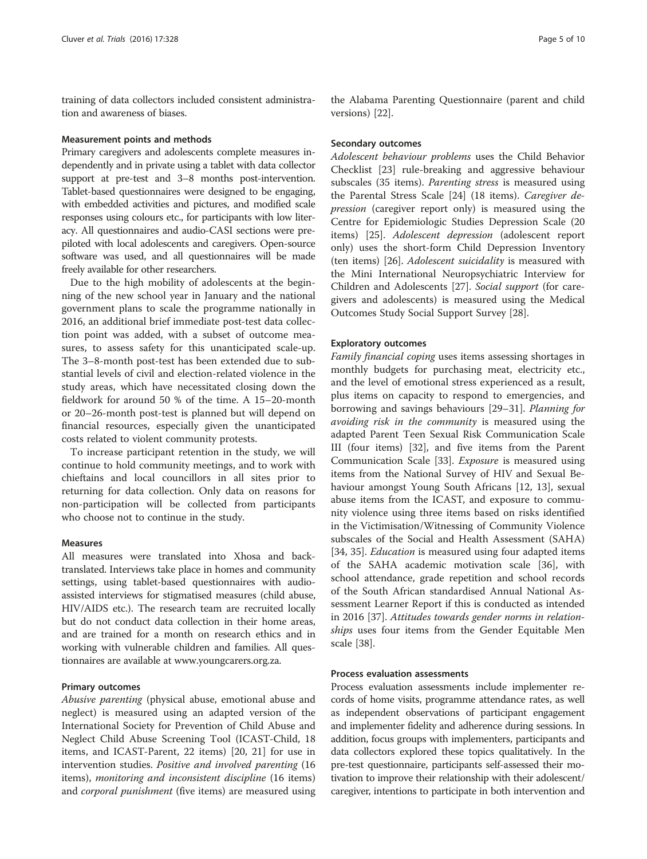training of data collectors included consistent administration and awareness of biases.

#### Measurement points and methods

Primary caregivers and adolescents complete measures independently and in private using a tablet with data collector support at pre-test and 3–8 months post-intervention. Tablet-based questionnaires were designed to be engaging, with embedded activities and pictures, and modified scale responses using colours etc., for participants with low literacy. All questionnaires and audio-CASI sections were prepiloted with local adolescents and caregivers. Open-source software was used, and all questionnaires will be made freely available for other researchers.

Due to the high mobility of adolescents at the beginning of the new school year in January and the national government plans to scale the programme nationally in 2016, an additional brief immediate post-test data collection point was added, with a subset of outcome measures, to assess safety for this unanticipated scale-up. The 3–8-month post-test has been extended due to substantial levels of civil and election-related violence in the study areas, which have necessitated closing down the fieldwork for around 50 % of the time. A 15–20-month or 20–26-month post-test is planned but will depend on financial resources, especially given the unanticipated costs related to violent community protests.

To increase participant retention in the study, we will continue to hold community meetings, and to work with chieftains and local councillors in all sites prior to returning for data collection. Only data on reasons for non-participation will be collected from participants who choose not to continue in the study.

## Measures

All measures were translated into Xhosa and backtranslated. Interviews take place in homes and community settings, using tablet-based questionnaires with audioassisted interviews for stigmatised measures (child abuse, HIV/AIDS etc.). The research team are recruited locally but do not conduct data collection in their home areas, and are trained for a month on research ethics and in working with vulnerable children and families. All questionnaires are available at [www.youngcarers.org.za.](http://www.youngcarers.org.za/)

#### Primary outcomes

Abusive parenting (physical abuse, emotional abuse and neglect) is measured using an adapted version of the International Society for Prevention of Child Abuse and Neglect Child Abuse Screening Tool (ICAST-Child, 18 items, and ICAST-Parent, 22 items) [[20, 21\]](#page-8-0) for use in intervention studies. Positive and involved parenting (16 items), monitoring and inconsistent discipline (16 items) and *corporal punishment* (five items) are measured using

the Alabama Parenting Questionnaire (parent and child versions) [\[22](#page-8-0)].

## Secondary outcomes

Adolescent behaviour problems uses the Child Behavior Checklist [\[23](#page-8-0)] rule-breaking and aggressive behaviour subscales (35 items). Parenting stress is measured using the Parental Stress Scale [\[24](#page-8-0)] (18 items). Caregiver depression (caregiver report only) is measured using the Centre for Epidemiologic Studies Depression Scale (20 items) [[25\]](#page-8-0). Adolescent depression (adolescent report only) uses the short-form Child Depression Inventory (ten items) [\[26](#page-8-0)]. Adolescent suicidality is measured with the Mini International Neuropsychiatric Interview for Children and Adolescents [[27\]](#page-8-0). Social support (for caregivers and adolescents) is measured using the Medical Outcomes Study Social Support Survey [\[28\]](#page-8-0).

#### Exploratory outcomes

Family financial coping uses items assessing shortages in monthly budgets for purchasing meat, electricity etc., and the level of emotional stress experienced as a result, plus items on capacity to respond to emergencies, and borrowing and savings behaviours [[29](#page-8-0)–[31](#page-8-0)]. Planning for avoiding risk in the community is measured using the adapted Parent Teen Sexual Risk Communication Scale III (four items) [[32](#page-8-0)], and five items from the Parent Communication Scale [\[33\]](#page-8-0). Exposure is measured using items from the National Survey of HIV and Sexual Behaviour amongst Young South Africans [\[12, 13\]](#page-8-0), sexual abuse items from the ICAST, and exposure to community violence using three items based on risks identified in the Victimisation/Witnessing of Community Violence subscales of the Social and Health Assessment (SAHA) [[34, 35\]](#page-8-0). *Education* is measured using four adapted items of the SAHA academic motivation scale [[36](#page-8-0)], with school attendance, grade repetition and school records of the South African standardised Annual National Assessment Learner Report if this is conducted as intended in 2016 [\[37](#page-8-0)]. Attitudes towards gender norms in relationships uses four items from the Gender Equitable Men scale [\[38](#page-8-0)].

## Process evaluation assessments

Process evaluation assessments include implementer records of home visits, programme attendance rates, as well as independent observations of participant engagement and implementer fidelity and adherence during sessions. In addition, focus groups with implementers, participants and data collectors explored these topics qualitatively. In the pre-test questionnaire, participants self-assessed their motivation to improve their relationship with their adolescent/ caregiver, intentions to participate in both intervention and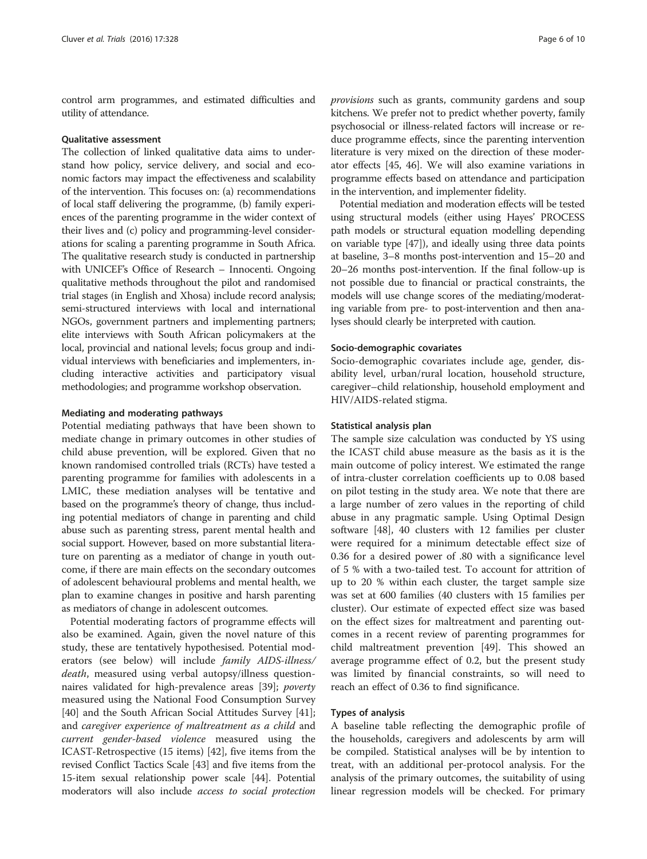control arm programmes, and estimated difficulties and utility of attendance.

#### Qualitative assessment

The collection of linked qualitative data aims to understand how policy, service delivery, and social and economic factors may impact the effectiveness and scalability of the intervention. This focuses on: (a) recommendations of local staff delivering the programme, (b) family experiences of the parenting programme in the wider context of their lives and (c) policy and programming-level considerations for scaling a parenting programme in South Africa. The qualitative research study is conducted in partnership with UNICEF's Office of Research – Innocenti. Ongoing qualitative methods throughout the pilot and randomised trial stages (in English and Xhosa) include record analysis; semi-structured interviews with local and international NGOs, government partners and implementing partners; elite interviews with South African policymakers at the local, provincial and national levels; focus group and individual interviews with beneficiaries and implementers, including interactive activities and participatory visual methodologies; and programme workshop observation.

## Mediating and moderating pathways

Potential mediating pathways that have been shown to mediate change in primary outcomes in other studies of child abuse prevention, will be explored. Given that no known randomised controlled trials (RCTs) have tested a parenting programme for families with adolescents in a LMIC, these mediation analyses will be tentative and based on the programme's theory of change, thus including potential mediators of change in parenting and child abuse such as parenting stress, parent mental health and social support. However, based on more substantial literature on parenting as a mediator of change in youth outcome, if there are main effects on the secondary outcomes of adolescent behavioural problems and mental health, we plan to examine changes in positive and harsh parenting as mediators of change in adolescent outcomes.

Potential moderating factors of programme effects will also be examined. Again, given the novel nature of this study, these are tentatively hypothesised. Potential moderators (see below) will include family AIDS-illness/ death, measured using verbal autopsy/illness questionnaires validated for high-prevalence areas [\[39](#page-8-0)]; poverty measured using the National Food Consumption Survey [[40\]](#page-9-0) and the South African Social Attitudes Survey [\[41](#page-9-0)]; and caregiver experience of maltreatment as a child and current gender-based violence measured using the ICAST-Retrospective (15 items) [[42\]](#page-9-0), five items from the revised Conflict Tactics Scale [\[43\]](#page-9-0) and five items from the 15-item sexual relationship power scale [[44](#page-9-0)]. Potential moderators will also include access to social protection provisions such as grants, community gardens and soup kitchens. We prefer not to predict whether poverty, family psychosocial or illness-related factors will increase or reduce programme effects, since the parenting intervention literature is very mixed on the direction of these moderator effects [[45, 46\]](#page-9-0). We will also examine variations in programme effects based on attendance and participation in the intervention, and implementer fidelity.

Potential mediation and moderation effects will be tested using structural models (either using Hayes' PROCESS path models or structural equation modelling depending on variable type [\[47\]](#page-9-0)), and ideally using three data points at baseline, 3–8 months post-intervention and 15–20 and 20–26 months post-intervention. If the final follow-up is not possible due to financial or practical constraints, the models will use change scores of the mediating/moderating variable from pre- to post-intervention and then analyses should clearly be interpreted with caution.

#### Socio-demographic covariates

Socio-demographic covariates include age, gender, disability level, urban/rural location, household structure, caregiver–child relationship, household employment and HIV/AIDS-related stigma.

#### Statistical analysis plan

The sample size calculation was conducted by YS using the ICAST child abuse measure as the basis as it is the main outcome of policy interest. We estimated the range of intra-cluster correlation coefficients up to 0.08 based on pilot testing in the study area. We note that there are a large number of zero values in the reporting of child abuse in any pragmatic sample. Using Optimal Design software [\[48](#page-9-0)], 40 clusters with 12 families per cluster were required for a minimum detectable effect size of 0.36 for a desired power of .80 with a significance level of 5 % with a two-tailed test. To account for attrition of up to 20 % within each cluster, the target sample size was set at 600 families (40 clusters with 15 families per cluster). Our estimate of expected effect size was based on the effect sizes for maltreatment and parenting outcomes in a recent review of parenting programmes for child maltreatment prevention [[49\]](#page-9-0). This showed an average programme effect of 0.2, but the present study was limited by financial constraints, so will need to reach an effect of 0.36 to find significance.

## Types of analysis

A baseline table reflecting the demographic profile of the households, caregivers and adolescents by arm will be compiled. Statistical analyses will be by intention to treat, with an additional per-protocol analysis. For the analysis of the primary outcomes, the suitability of using linear regression models will be checked. For primary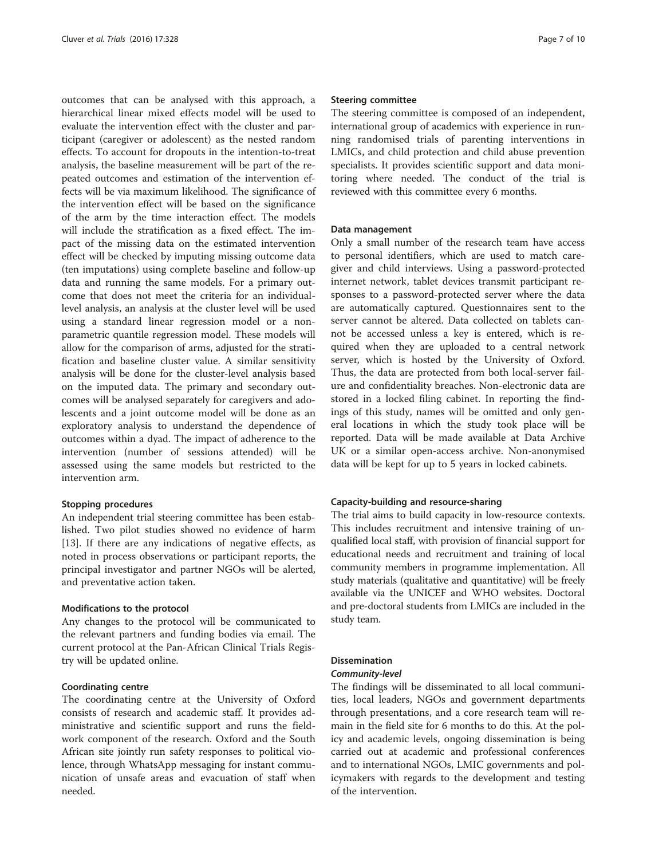outcomes that can be analysed with this approach, a hierarchical linear mixed effects model will be used to evaluate the intervention effect with the cluster and participant (caregiver or adolescent) as the nested random effects. To account for dropouts in the intention-to-treat analysis, the baseline measurement will be part of the repeated outcomes and estimation of the intervention effects will be via maximum likelihood. The significance of the intervention effect will be based on the significance of the arm by the time interaction effect. The models will include the stratification as a fixed effect. The impact of the missing data on the estimated intervention effect will be checked by imputing missing outcome data (ten imputations) using complete baseline and follow-up data and running the same models. For a primary outcome that does not meet the criteria for an individuallevel analysis, an analysis at the cluster level will be used using a standard linear regression model or a nonparametric quantile regression model. These models will allow for the comparison of arms, adjusted for the stratification and baseline cluster value. A similar sensitivity analysis will be done for the cluster-level analysis based on the imputed data. The primary and secondary outcomes will be analysed separately for caregivers and adolescents and a joint outcome model will be done as an exploratory analysis to understand the dependence of outcomes within a dyad. The impact of adherence to the intervention (number of sessions attended) will be assessed using the same models but restricted to the intervention arm.

## Stopping procedures

An independent trial steering committee has been established. Two pilot studies showed no evidence of harm [[13\]](#page-8-0). If there are any indications of negative effects, as noted in process observations or participant reports, the principal investigator and partner NGOs will be alerted, and preventative action taken.

## Modifications to the protocol

Any changes to the protocol will be communicated to the relevant partners and funding bodies via email. The current protocol at the Pan-African Clinical Trials Registry will be updated online.

## Coordinating centre

The coordinating centre at the University of Oxford consists of research and academic staff. It provides administrative and scientific support and runs the fieldwork component of the research. Oxford and the South African site jointly run safety responses to political violence, through WhatsApp messaging for instant communication of unsafe areas and evacuation of staff when needed.

## Steering committee

The steering committee is composed of an independent, international group of academics with experience in running randomised trials of parenting interventions in LMICs, and child protection and child abuse prevention specialists. It provides scientific support and data monitoring where needed. The conduct of the trial is reviewed with this committee every 6 months.

#### Data management

Only a small number of the research team have access to personal identifiers, which are used to match caregiver and child interviews. Using a password-protected internet network, tablet devices transmit participant responses to a password-protected server where the data are automatically captured. Questionnaires sent to the server cannot be altered. Data collected on tablets cannot be accessed unless a key is entered, which is required when they are uploaded to a central network server, which is hosted by the University of Oxford. Thus, the data are protected from both local-server failure and confidentiality breaches. Non-electronic data are stored in a locked filing cabinet. In reporting the findings of this study, names will be omitted and only general locations in which the study took place will be reported. Data will be made available at Data Archive UK or a similar open-access archive. Non-anonymised data will be kept for up to 5 years in locked cabinets.

## Capacity-building and resource-sharing

The trial aims to build capacity in low-resource contexts. This includes recruitment and intensive training of unqualified local staff, with provision of financial support for educational needs and recruitment and training of local community members in programme implementation. All study materials (qualitative and quantitative) will be freely available via the UNICEF and WHO websites. Doctoral and pre-doctoral students from LMICs are included in the study team.

#### Dissemination

## Community-level

The findings will be disseminated to all local communities, local leaders, NGOs and government departments through presentations, and a core research team will remain in the field site for 6 months to do this. At the policy and academic levels, ongoing dissemination is being carried out at academic and professional conferences and to international NGOs, LMIC governments and policymakers with regards to the development and testing of the intervention.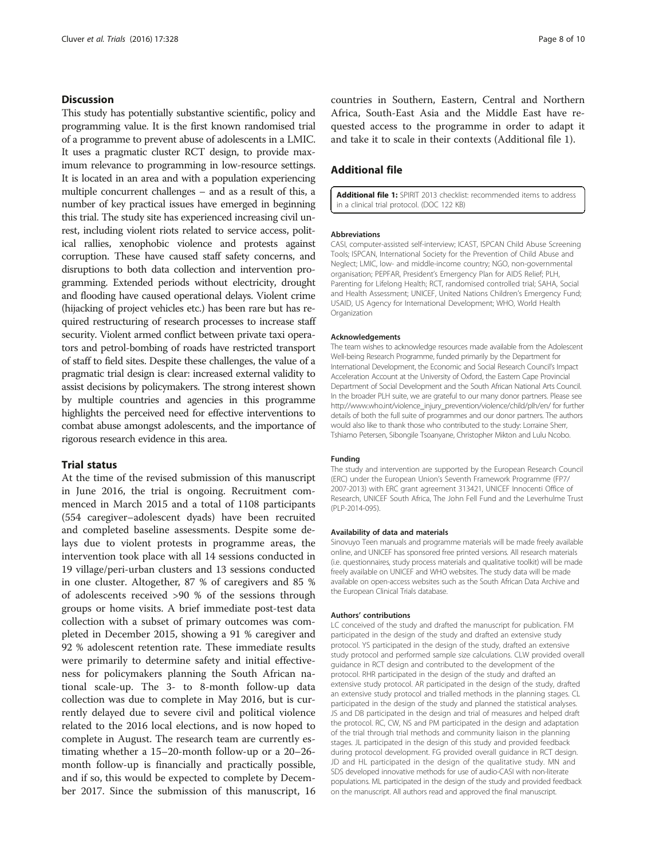## **Discussion**

This study has potentially substantive scientific, policy and programming value. It is the first known randomised trial of a programme to prevent abuse of adolescents in a LMIC. It uses a pragmatic cluster RCT design, to provide maximum relevance to programming in low-resource settings. It is located in an area and with a population experiencing multiple concurrent challenges – and as a result of this, a number of key practical issues have emerged in beginning this trial. The study site has experienced increasing civil unrest, including violent riots related to service access, political rallies, xenophobic violence and protests against corruption. These have caused staff safety concerns, and disruptions to both data collection and intervention programming. Extended periods without electricity, drought and flooding have caused operational delays. Violent crime (hijacking of project vehicles etc.) has been rare but has required restructuring of research processes to increase staff security. Violent armed conflict between private taxi operators and petrol-bombing of roads have restricted transport of staff to field sites. Despite these challenges, the value of a pragmatic trial design is clear: increased external validity to assist decisions by policymakers. The strong interest shown by multiple countries and agencies in this programme highlights the perceived need for effective interventions to combat abuse amongst adolescents, and the importance of rigorous research evidence in this area.

## Trial status

At the time of the revised submission of this manuscript in June 2016, the trial is ongoing. Recruitment commenced in March 2015 and a total of 1108 participants (554 caregiver–adolescent dyads) have been recruited and completed baseline assessments. Despite some delays due to violent protests in programme areas, the intervention took place with all 14 sessions conducted in 19 village/peri-urban clusters and 13 sessions conducted in one cluster. Altogether, 87 % of caregivers and 85 % of adolescents received >90 % of the sessions through groups or home visits. A brief immediate post-test data collection with a subset of primary outcomes was completed in December 2015, showing a 91 % caregiver and 92 % adolescent retention rate. These immediate results were primarily to determine safety and initial effectiveness for policymakers planning the South African national scale-up. The 3- to 8-month follow-up data collection was due to complete in May 2016, but is currently delayed due to severe civil and political violence related to the 2016 local elections, and is now hoped to complete in August. The research team are currently estimating whether a 15–20-month follow-up or a 20–26 month follow-up is financially and practically possible, and if so, this would be expected to complete by December 2017. Since the submission of this manuscript, 16

countries in Southern, Eastern, Central and Northern Africa, South-East Asia and the Middle East have requested access to the programme in order to adapt it and take it to scale in their contexts (Additional file 1).

## Additional file

[Additional file 1:](dx.doi.org/10.1186/s13063-016-1452-8) SPIRIT 2013 checklist: recommended items to address in a clinical trial protocol. (DOC 122 KB)

#### Abbreviations

CASI, computer-assisted self-interview; ICAST, ISPCAN Child Abuse Screening Tools; ISPCAN, International Society for the Prevention of Child Abuse and Neglect; LMIC, low- and middle-income country; NGO, non-governmental organisation; PEPFAR, President's Emergency Plan for AIDS Relief; PLH, Parenting for Lifelong Health; RCT, randomised controlled trial; SAHA, Social and Health Assessment; UNICEF, United Nations Children's Emergency Fund; USAID, US Agency for International Development; WHO, World Health Organization

#### Acknowledgements

The team wishes to acknowledge resources made available from the Adolescent Well-being Research Programme, funded primarily by the Department for International Development, the Economic and Social Research Council's Impact Acceleration Account at the University of Oxford, the Eastern Cape Provincial Department of Social Development and the South African National Arts Council. In the broader PLH suite, we are grateful to our many donor partners. Please see [http://www.who.int/violence\\_injury\\_prevention/violence/child/plh/en/](http://www.who.int/violence_injury_prevention/violence/child/plh/en/) for further details of both the full suite of programmes and our donor partners. The authors would also like to thank those who contributed to the study: Lorraine Sherr, Tshiamo Petersen, Sibongile Tsoanyane, Christopher Mikton and Lulu Ncobo.

#### Funding

The study and intervention are supported by the European Research Council (ERC) under the European Union's Seventh Framework Programme (FP7/ 2007-2013) with ERC grant agreement 313421, UNICEF Innocenti Office of Research, UNICEF South Africa, The John Fell Fund and the Leverhulme Trust (PLP-2014-095).

#### Availability of data and materials

Sinovuyo Teen manuals and programme materials will be made freely available online, and UNICEF has sponsored free printed versions. All research materials (i.e. questionnaires, study process materials and qualitative toolkit) will be made freely available on UNICEF and WHO websites. The study data will be made available on open-access websites such as the South African Data Archive and the European Clinical Trials database.

#### Authors' contributions

LC conceived of the study and drafted the manuscript for publication. FM participated in the design of the study and drafted an extensive study protocol. YS participated in the design of the study, drafted an extensive study protocol and performed sample size calculations. CLW provided overall guidance in RCT design and contributed to the development of the protocol. RHR participated in the design of the study and drafted an extensive study protocol. AR participated in the design of the study, drafted an extensive study protocol and trialled methods in the planning stages. CL participated in the design of the study and planned the statistical analyses. JS and DB participated in the design and trial of measures and helped draft the protocol. RC, CW, NS and PM participated in the design and adaptation of the trial through trial methods and community liaison in the planning stages. JL participated in the design of this study and provided feedback during protocol development. FG provided overall guidance in RCT design. JD and HL participated in the design of the qualitative study. MN and SDS developed innovative methods for use of audio-CASI with non-literate populations. ML participated in the design of the study and provided feedback on the manuscript. All authors read and approved the final manuscript.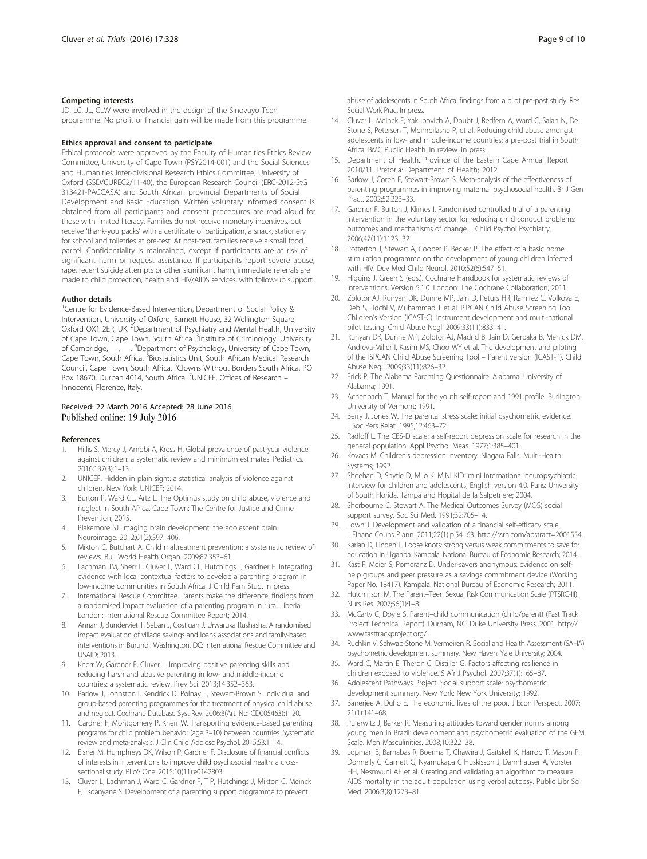#### <span id="page-8-0"></span>Competing interests

JD, LC, JL, CLW were involved in the design of the Sinovuyo Teen programme. No profit or financial gain will be made from this programme.

#### Ethics approval and consent to participate

Ethical protocols were approved by the Faculty of Humanities Ethics Review Committee, University of Cape Town (PSY2014-001) and the Social Sciences and Humanities Inter-divisional Research Ethics Committee, University of Oxford (SSD/CUREC2/11-40), the European Research Council (ERC-2012-StG 313421-PACCASA) and South African provincial Departments of Social Development and Basic Education. Written voluntary informed consent is obtained from all participants and consent procedures are read aloud for those with limited literacy. Families do not receive monetary incentives, but receive 'thank-you packs' with a certificate of participation, a snack, stationery for school and toiletries at pre-test. At post-test, families receive a small food parcel. Confidentiality is maintained, except if participants are at risk of significant harm or request assistance. If participants report severe abuse, rape, recent suicide attempts or other significant harm, immediate referrals are made to child protection, health and HIV/AIDS services, with follow-up support.

#### Author details

<sup>1</sup>Centre for Evidence-Based Intervention, Department of Social Policy & Intervention, University of Oxford, Barnett House, 32 Wellington Square, Oxford OX1 2ER, UK. <sup>2</sup>Department of Psychiatry and Mental Health, University of Cape Town, Cape Town, South Africa. <sup>3</sup>Institute of Criminology, University of Cambridge, <sup>4</sup>Department of Psychology, University of Cape Town, Cape Town, South Africa. <sup>5</sup>Biostatistics Unit, South African Medical Research Council, Cape Town, South Africa. <sup>6</sup>Clowns Without Borders South Africa, PO Box 18670, Durban 4014, South Africa. <sup>7</sup>UNICEF, Offices of Research – Innocenti, Florence, Italy.

#### Received: 22 March 2016 Accepted: 28 June 2016 Published online: 19 July 2016

#### References

- 1. Hillis S, Mercy J, Amobi A, Kress H. Global prevalence of past-year violence against children: a systematic review and minimum estimates. Pediatrics. 2016;137(3):1–13.
- 2. UNICEF. Hidden in plain sight: a statistical analysis of violence against children. New York: UNICEF; 2014.
- Burton P, Ward CL, Artz L. The Optimus study on child abuse, violence and neglect in South Africa. Cape Town: The Centre for Justice and Crime Prevention; 2015.
- 4. Blakemore SJ. Imaging brain development: the adolescent brain. Neuroimage. 2012;61(2):397–406.
- 5. Mikton C, Butchart A. Child maltreatment prevention: a systematic review of reviews. Bull World Health Organ. 2009;87:353–61.
- 6. Lachman JM, Sherr L, Cluver L, Ward CL, Hutchings J, Gardner F. Integrating evidence with local contextual factors to develop a parenting program in low-income communities in South Africa. J Child Fam Stud. In press.
- 7. International Rescue Committee. Parents make the difference: findings from a randomised impact evaluation of a parenting program in rural Liberia. London: International Rescue Committee Report; 2014.
- 8. Annan J, Bunderviet T, Seban J, Costigan J. Urwaruka Rushasha. A randomised impact evaluation of village savings and loans associations and family-based interventions in Burundi. Washington, DC: International Rescue Committee and USAID; 2013.
- Knerr W, Gardner F, Cluver L. Improving positive parenting skills and reducing harsh and abusive parenting in low- and middle-income countries: a systematic review. Prev Sci. 2013;14:352–363.
- 10. Barlow J, Johnston I, Kendrick D, Polnay L, Stewart-Brown S. Individual and group-based parenting programmes for the treatment of physical child abuse and neglect. Cochrane Database Syst Rev. 2006;3(Art. No: CD005463):1–20.
- 11. Gardner F, Montgomery P, Knerr W. Transporting evidence-based parenting programs for child problem behavior (age 3–10) between countries. Systematic review and meta-analysis. J Clin Child Adolesc Psychol. 2015;53:1–14.
- 12. Eisner M, Humphreys DK, Wilson P, Gardner F. Disclosure of financial conflicts of interests in interventions to improve child psychosocial health: a crosssectional study. PLoS One. 2015;10(11):e0142803.
- 13. Cluver L, Lachman J, Ward C, Gardner F, T P, Hutchings J, Mikton C, Meinck F, Tsoanyane S. Development of a parenting support programme to prevent

abuse of adolescents in South Africa: findings from a pilot pre-post study. Res Social Work Prac. In press.

- 14. Cluver L, Meinck F, Yakubovich A, Doubt J, Redfern A, Ward C, Salah N, De Stone S, Petersen T, Mpimpilashe P, et al. Reducing child abuse amongst adolescents in low- and middle-income countries: a pre-post trial in South Africa. BMC Public Health. In review. in press.
- 15. Department of Health. Province of the Eastern Cape Annual Report 2010/11. Pretoria: Department of Health; 2012.
- 16. Barlow J, Coren E, Stewart-Brown S. Meta-analysis of the effectiveness of parenting programmes in improving maternal psychosocial health. Br J Gen Pract. 2002;52:223–33.
- 17. Gardner F, Burton J, Klimes I. Randomised controlled trial of a parenting intervention in the voluntary sector for reducing child conduct problems: outcomes and mechanisms of change. J Child Psychol Psychiatry. 2006;47(11):1123–32.
- 18. Potterton J, Stewart A, Cooper P, Becker P. The effect of a basic home stimulation programme on the development of young children infected with HIV. Dev Med Child Neurol. 2010;52(6):547–51.
- 19. Higgins J, Green S (eds.). Cochrane Handbook for systematic reviews of interventions, Version 5.1.0. London: The Cochrane Collaboration; 2011.
- 20. Zolotor AJ, Runyan DK, Dunne MP, Jain D, Peturs HR, Ramirez C, Volkova E, Deb S, Lidchi V, Muhammad T et al. ISPCAN Child Abuse Screening Tool Children's Version (ICAST-C): instrument development and multi-national pilot testing. Child Abuse Negl. 2009;33(11):833–41.
- 21. Runyan DK, Dunne MP, Zolotor AJ, Madrid B, Jain D, Gerbaka B, Menick DM, Andreva-Miller I, Kasim MS, Choo WY et al. The development and piloting of the ISPCAN Child Abuse Screening Tool – Parent version (ICAST-P). Child Abuse Negl. 2009;33(11):826–32.
- 22. Frick P. The Alabama Parenting Questionnaire. Alabama: University of Alabama; 1991.
- 23. Achenbach T. Manual for the youth self-report and 1991 profile. Burlington: University of Vermont; 1991.
- 24. Berry J, Jones W. The parental stress scale: initial psychometric evidence. J Soc Pers Relat. 1995;12:463–72.
- 25. Radloff L. The CES-D scale: a self-report depression scale for research in the general population. Appl Psychol Meas. 1977;1:385–401.
- 26. Kovacs M. Children's depression inventory. Niagara Falls: Multi-Health Systems; 1992.
- 27. Sheehan D, Shytle D, Milo K. MINI KID: mini international neuropsychiatric interview for children and adolescents, English version 4.0. Paris: University of South Florida, Tampa and Hopital de la Salpetriere; 2004.
- 28. Sherbourne C, Stewart A. The Medical Outcomes Survey (MOS) social support survey. Soc Sci Med. 1991;32:705–14.
- 29. Lown J. Development and validation of a financial self-efficacy scale. J Financ Couns Plann. 2011;22(1).p.54–63. [http://ssrn.com/abstract=2001554.](http://ssrn.com/abstract=2001554)
- 30. Karlan D, Linden L. Loose knots: strong versus weak commitments to save for education in Uganda. Kampala: National Bureau of Economic Research; 2014.
- 31. Kast F, Meier S, Pomeranz D. Under-savers anonymous: evidence on selfhelp groups and peer pressure as a savings commitment device (Working Paper No. 18417). Kampala: National Bureau of Economic Research; 2011.
- 32. Hutchinson M. The Parent–Teen Sexual Risk Communication Scale (PTSRC-III). Nurs Res. 2007;56(1):1–8.
- 33. McCarty C, Doyle S. Parent–child communication (child/parent) (Fast Track Project Technical Report). Durham, NC: Duke University Press. 2001. [http://](http://www.fasttrackproject.org/) [www.fasttrackproject.org/.](http://www.fasttrackproject.org/)
- 34. Ruchkin V, Schwab-Stone M, Vermeiren R. Social and Health Assessment (SAHA) psychometric development summary. New Haven: Yale University; 2004.
- 35. Ward C, Martin E, Theron C, Distiller G. Factors affecting resilience in children exposed to violence. S Afr J Psychol. 2007;37(1):165–87.
- 36. Adolescent Pathways Project. Social support scale: psychometric development summary. New York: New York University; 1992.
- 37. Banerjee A, Duflo E. The economic lives of the poor. J Econ Perspect. 2007; 21(1):141–68.
- 38. Pulerwitz J, Barker R. Measuring attitudes toward gender norms among young men in Brazil: development and psychometric evaluation of the GEM Scale. Men Masculinities. 2008;10:322–38.
- 39. Lopman B, Barnabas R, Boerma T, Chawira J, Gaitskell K, Harrop T, Mason P, Donnelly C, Garnett G, Nyamukapa C Huskisson J, Dannhauser A, Vorster HH, Nesmvuni AE et al. Creating and validating an algorithm to measure AIDS mortality in the adult population using verbal autopsy. Public Libr Sci Med. 2006;3(8):1273–81.